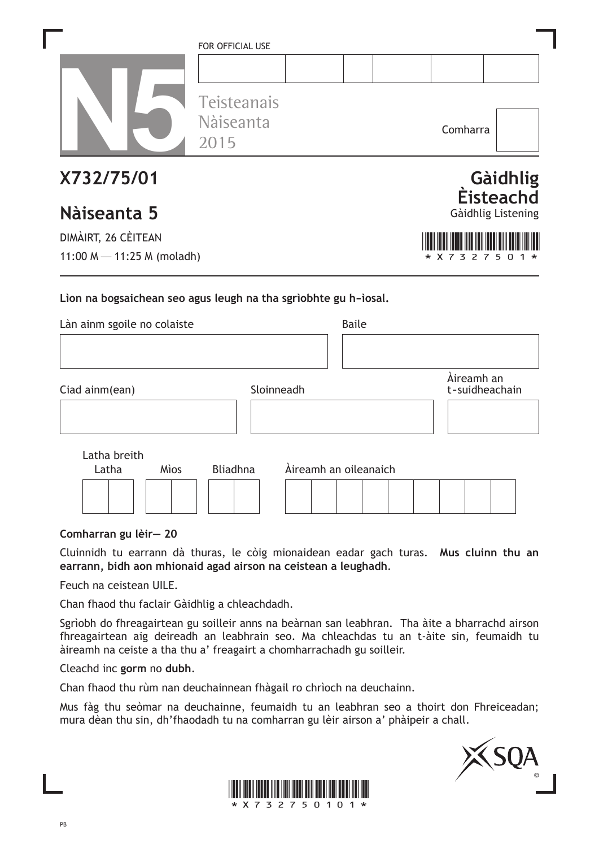|                                                                 | FOR OFFICIAL USE<br>Teisteanais |                       |              |                              |                              |
|-----------------------------------------------------------------|---------------------------------|-----------------------|--------------|------------------------------|------------------------------|
|                                                                 | Nàiseanta<br>2015               |                       |              | Comharra                     |                              |
| X732/75/01                                                      |                                 |                       |              |                              | Gàidhlig<br><b>Eisteachd</b> |
| Nàiseanta 5                                                     |                                 |                       |              |                              | Gàidhlig Listening           |
| DIMÀIRT, 26 CÈITEAN                                             |                                 |                       |              |                              |                              |
| 11:00 M $-$ 11:25 M (moladh)                                    |                                 |                       |              | 3<br>X 7<br>27               | 5                            |
| Lion na bogsaichean seo agus leugh na tha sgrìobhte gu h-ìosal. |                                 |                       |              |                              |                              |
| Làn ainm sgoile no colaiste                                     |                                 |                       | <b>Baile</b> |                              |                              |
|                                                                 |                                 |                       |              |                              |                              |
| Ciad ainm(ean)                                                  | Sloinneadh                      |                       |              | Àireamh an<br>t-suidheachain |                              |
|                                                                 |                                 |                       |              |                              |                              |
| Latha breith                                                    |                                 |                       |              |                              |                              |
| Mìos<br>Latha                                                   | <b>Bliadhna</b>                 | Àireamh an oileanaich |              |                              |                              |
|                                                                 |                                 |                       |              |                              |                              |

**Comharran gu lèir— 20**

Cluinnidh tu earrann dà thuras, le còig mionaidean eadar gach turas. **Mus cluinn thu an earrann, bidh aon mhionaid agad airson na ceistean a leughadh**.

Feuch na ceistean UILE.

Chan fhaod thu faclair Gàidhlig a chleachdadh.

Sgrìobh do fhreagairtean gu soilleir anns na beàrnan san leabhran. Tha àite a bharrachd airson fhreagairtean aig deireadh an leabhrain seo. Ma chleachdas tu an t-àite sin, feumaidh tu àireamh na ceiste a tha thu a' freagairt a chomharrachadh gu soilleir.

Cleachd inc **gorm** no **dubh**.

Chan fhaod thu rùm nan deuchainnean fhàgail ro chrìoch na deuchainn.

Mus fàg thu seòmar na deuchainne, feumaidh tu an leabhran seo a thoirt don Fhreiceadan; mura dèan thu sin, dh'fhaodadh tu na comharran gu lèir airson a' phàipeir a chall.



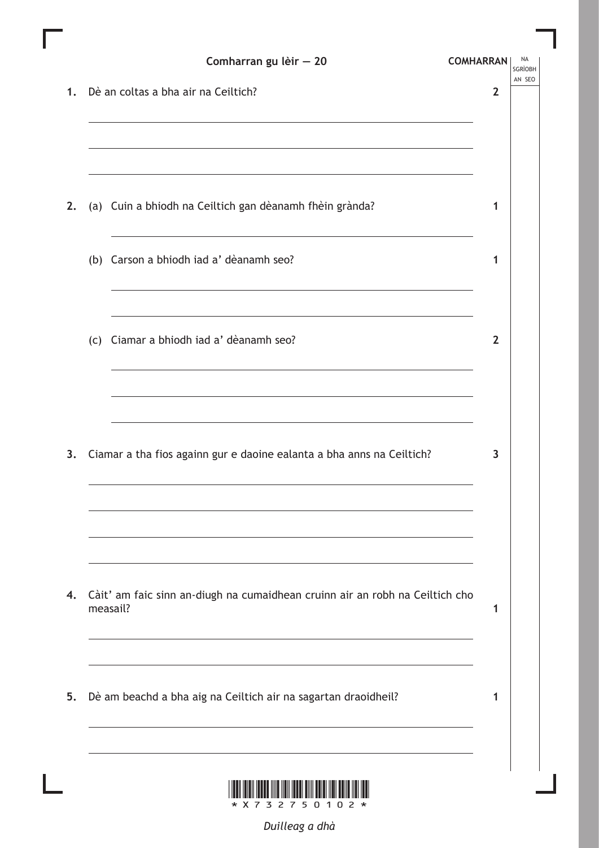|    |                                     | Comharran gu lèir - 20                                                                                                                                      | <b>COMHARRAN</b> |  |  |
|----|-------------------------------------|-------------------------------------------------------------------------------------------------------------------------------------------------------------|------------------|--|--|
| 1. | Dè an coltas a bha air na Ceiltich? |                                                                                                                                                             |                  |  |  |
| 2. |                                     | (a) Cuin a bhiodh na Ceiltich gan dèanamh fhèin grànda?                                                                                                     | 1                |  |  |
|    |                                     | (b) Carson a bhiodh iad a' dèanamh seo?                                                                                                                     | 1                |  |  |
|    |                                     | (c) Ciamar a bhiodh iad a' dèanamh seo?<br>and the control of the control of the control of the control of the control of the control of the control of the | $\overline{2}$   |  |  |
| 3. |                                     | Ciamar a tha fios againn gur e daoine ealanta a bha anns na Ceiltich?                                                                                       | 3                |  |  |
| 4. |                                     | Càit' am faic sinn an-diugh na cumaidhean cruinn air an robh na Ceiltich cho<br>measail?                                                                    | 1                |  |  |
| 5. |                                     | Dè am beachd a bha aig na Ceiltich air na sagartan draoidheil?                                                                                              | 1                |  |  |
|    |                                     |                                                                                                                                                             |                  |  |  |

Ш

*Duilleag a dhà*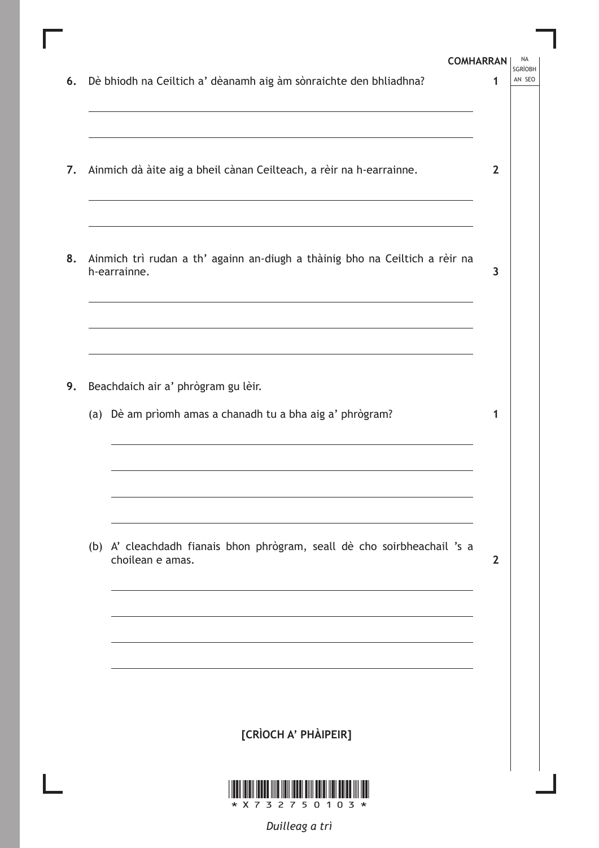| Dè bhiodh na Ceiltich a' dèanamh aig àm sònraichte den bhliadhna?<br>6.<br>1<br>Ainmich dà àite aig a bheil cànan Ceilteach, a rèir na h-earrainne.<br>7.<br>8. Ainmich trì rudan a th' againn an-diugh a thàinig bho na Ceiltich a rèir na<br>h-earrainne.<br>and the control of the control of the control of the control of the control of the control of the control of the<br>Beachdaich air a' phrògram gu lèir.<br>9.<br>(a) Dè am prìomh amas a chanadh tu a bha aig a' phrògram?<br>1<br>(b) A' cleachdadh fianais bhon phrògram, seall dè cho soirbheachail 's a<br>choilean e amas. |  | <b>COMHARRAN</b><br><b>SGRÌOBH</b> |
|------------------------------------------------------------------------------------------------------------------------------------------------------------------------------------------------------------------------------------------------------------------------------------------------------------------------------------------------------------------------------------------------------------------------------------------------------------------------------------------------------------------------------------------------------------------------------------------------|--|------------------------------------|
|                                                                                                                                                                                                                                                                                                                                                                                                                                                                                                                                                                                                |  | AN SEO                             |
|                                                                                                                                                                                                                                                                                                                                                                                                                                                                                                                                                                                                |  | $\mathbf{2}$                       |
|                                                                                                                                                                                                                                                                                                                                                                                                                                                                                                                                                                                                |  | 3                                  |
|                                                                                                                                                                                                                                                                                                                                                                                                                                                                                                                                                                                                |  |                                    |
|                                                                                                                                                                                                                                                                                                                                                                                                                                                                                                                                                                                                |  | $\overline{2}$                     |
|                                                                                                                                                                                                                                                                                                                                                                                                                                                                                                                                                                                                |  |                                    |
| [CRÌOCH A' PHÀIPEIR]                                                                                                                                                                                                                                                                                                                                                                                                                                                                                                                                                                           |  |                                    |

*Duilleag a trì*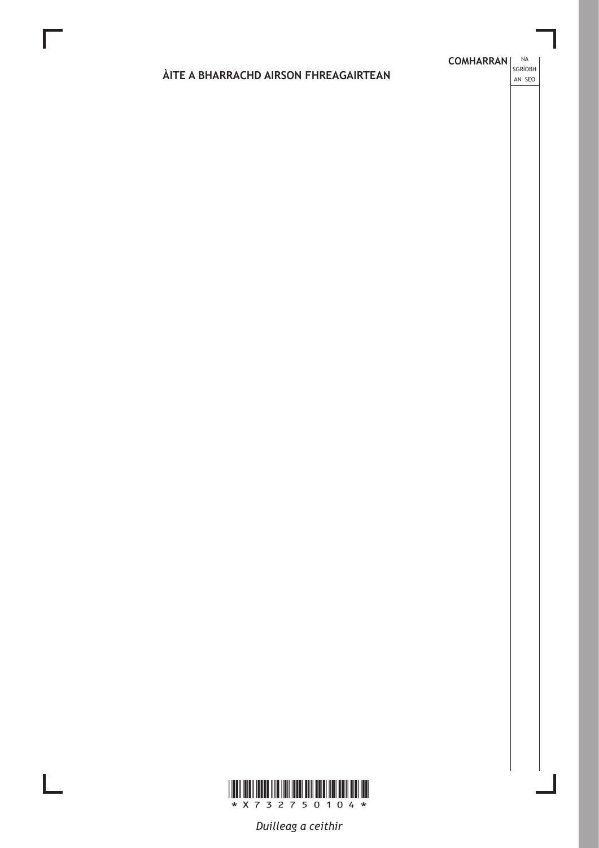### **COMHARRAN** SGRÌOBH ÀITE A BHARRACHD AIRSON FHREAGAIRTEAN AN SEO



Duilleag a ceithir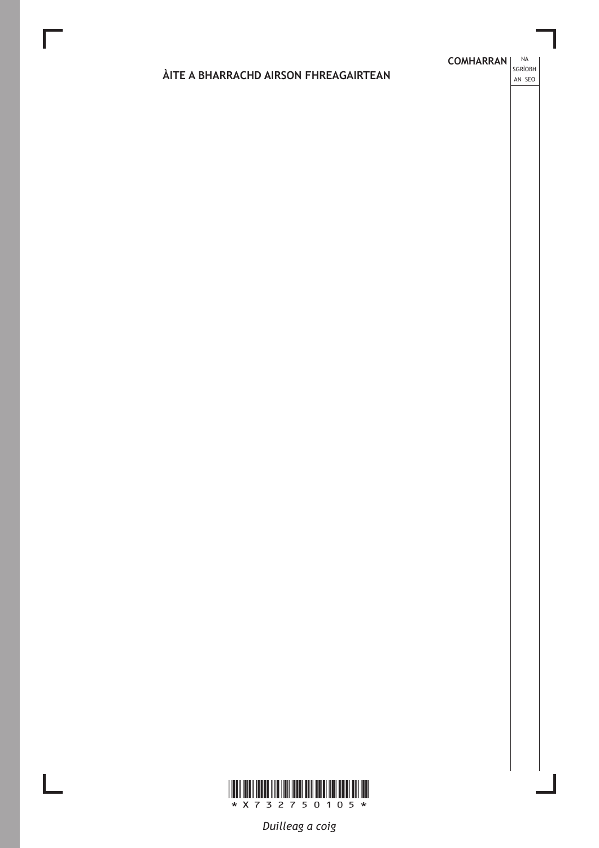# **COMHARRAN** SGRÌOBH ÀITE A BHARRACHD AIRSON FHREAGAIRTEAN AN SEO



Duilleag a coig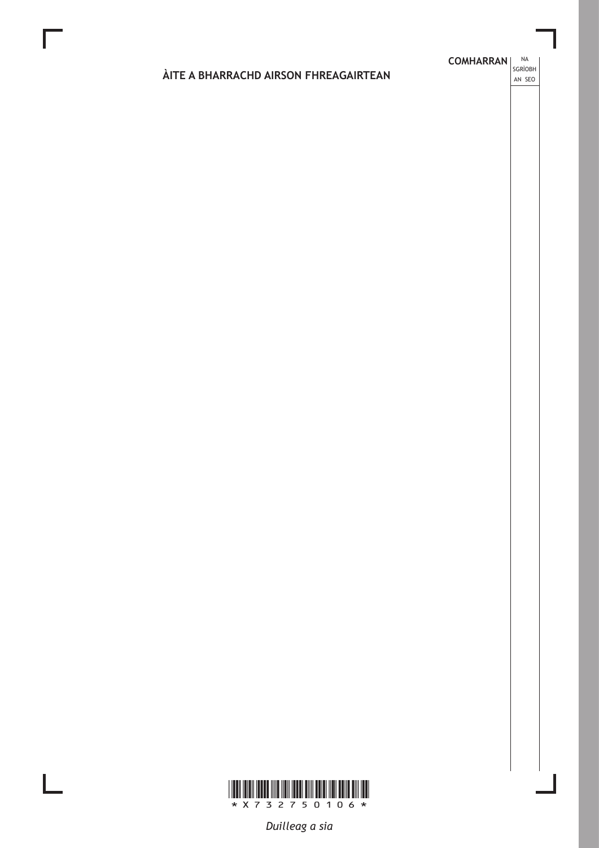## **COMHARRAN** SGRÌOBH ÀITE A BHARRACHD AIRSON FHREAGAIRTEAN AN SEO



Duilleag a sia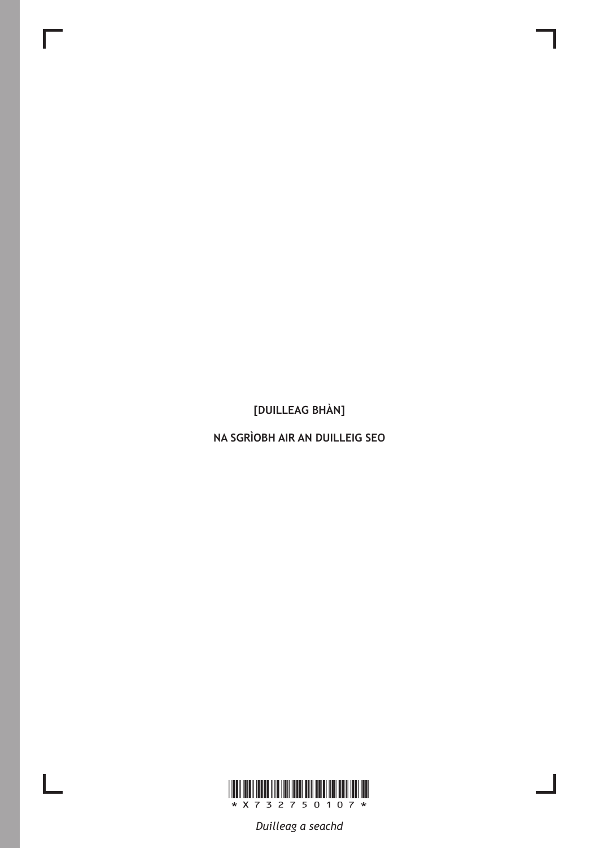[DUILLEAG BHÀN]

NA SGRÌOBH AIR AN DUILLEIG SEO



 $\overline{\phantom{a}}$ 

L

Duilleag a seachd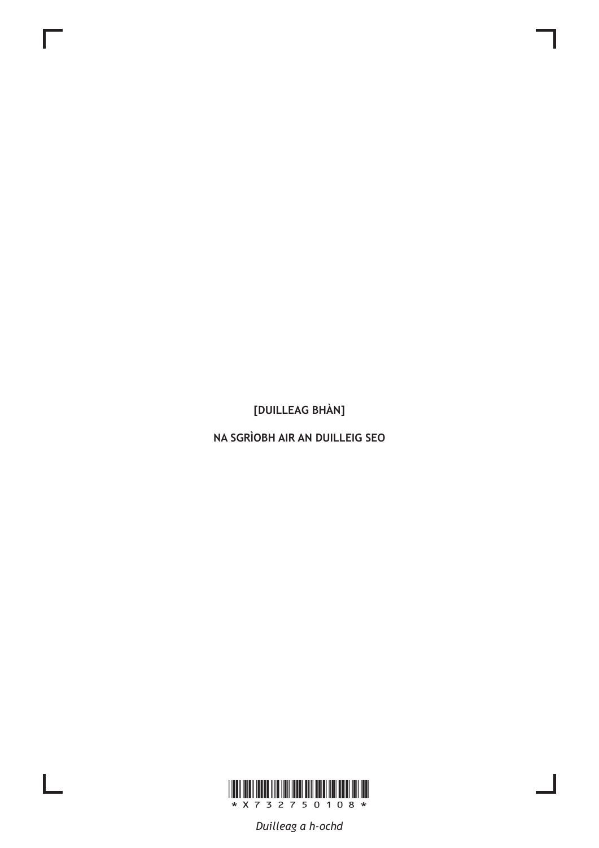[DUILLEAG BHÀN]

NA SGRÌOBH AIR AN DUILLEIG SEO



 $\mathbf{L}$ 

Duilleag a h-ochd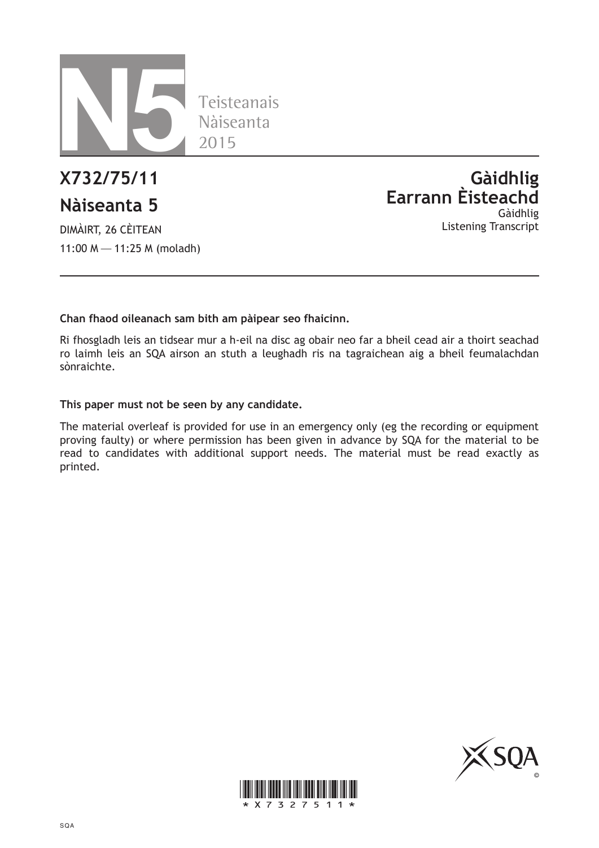

### **Nàiseanta 5**

DIMÀIRT, 26 CÈITEAN 11:00 M—11:25 M (moladh)

**X732/75/11 Gàidhlig Earrann Èisteachd** Gàidhlig Listening Transcript

### **Chan fhaod oileanach sam bith am pàipear seo fhaicinn.**

Ri fhosgladh leis an tidsear mur a h-eil na disc ag obair neo far a bheil cead air a thoirt seachad ro laimh leis an SQA airson an stuth a leughadh ris na tagraichean aig a bheil feumalachdan sònraichte.

### **This paper must not be seen by any candidate.**

The material overleaf is provided for use in an emergency only (eg the recording or equipment proving faulty) or where permission has been given in advance by SQA for the material to be read to candidates with additional support needs. The material must be read exactly as printed.



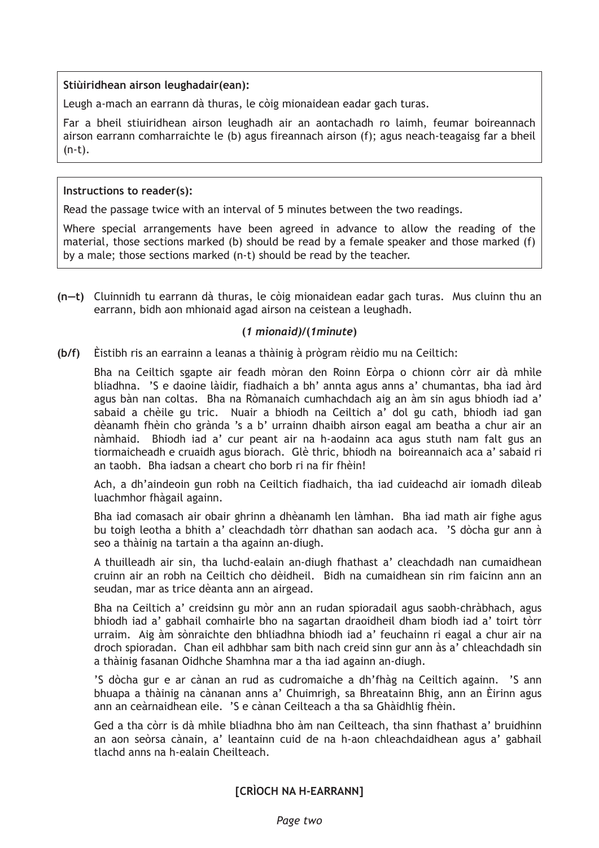### **Stiùiridhean airson leughadair(ean):**

Leugh a-mach an earrann dà thuras, le còig mionaidean eadar gach turas.

Far a bheil stiuiridhean airson leughadh air an aontachadh ro laimh, feumar boireannach airson earrann comharraichte le (b) agus fireannach airson (f); agus neach-teagaisg far a bheil (n-t).

### **Instructions to reader(s):**

Read the passage twice with an interval of 5 minutes between the two readings.

Where special arrangements have been agreed in advance to allow the reading of the material, those sections marked (b) should be read by a female speaker and those marked (f) by a male; those sections marked (n-t) should be read by the teacher.

**(n—t)** Cluinnidh tu earrann dà thuras, le còig mionaidean eadar gach turas. Mus cluinn thu an earrann, bidh aon mhionaid agad airson na ceistean a leughadh.

### **(***1 mionaid)***/(***1minute***)**

**(b/f)** Èistibh ris an earrainn a leanas a thàinig à prògram rèidio mu na Ceiltich:

Bha na Ceiltich sgapte air feadh mòran den Roinn Eòrpa o chionn còrr air dà mhìle bliadhna. 'S e daoine làidir, fiadhaich a bh' annta agus anns a' chumantas, bha iad àrd agus bàn nan coltas. Bha na Ròmanaich cumhachdach aig an àm sin agus bhiodh iad a' sabaid a chèile gu tric. Nuair a bhiodh na Ceiltich a' dol gu cath, bhiodh iad gan dèanamh fhèin cho grànda 's a b' urrainn dhaibh airson eagal am beatha a chur air an nàmhaid. Bhiodh iad a' cur peant air na h-aodainn aca agus stuth nam falt gus an tiormaicheadh e cruaidh agus biorach. Glè thric, bhiodh na boireannaich aca a' sabaid ri an taobh. Bha iadsan a cheart cho borb ri na fir fhèin!

Ach, a dh'aindeoin gun robh na Ceiltich fiadhaich, tha iad cuideachd air iomadh dìleab luachmhor fhàgail againn.

Bha iad comasach air obair ghrinn a dhèanamh len làmhan. Bha iad math air fighe agus bu toigh leotha a bhith a' cleachdadh tòrr dhathan san aodach aca. 'S dòcha gur ann à seo a thàinig na tartain a tha againn an-diugh.

A thuilleadh air sin, tha luchd-ealain an-diugh fhathast a' cleachdadh nan cumaidhean cruinn air an robh na Ceiltich cho dèidheil. Bidh na cumaidhean sin rim faicinn ann an seudan, mar as trice dèanta ann an airgead.

Bha na Ceiltich a' creidsinn gu mòr ann an rudan spioradail agus saobh-chràbhach, agus bhiodh iad a' gabhail comhairle bho na sagartan draoidheil dham biodh iad a' toirt tòrr urraim. Aig àm sònraichte den bhliadhna bhiodh iad a' feuchainn ri eagal a chur air na droch spioradan. Chan eil adhbhar sam bith nach creid sinn gur ann às a' chleachdadh sin a thàinig fasanan Oidhche Shamhna mar a tha iad againn an-diugh.

'S dòcha gur e ar cànan an rud as cudromaiche a dh'fhàg na Ceiltich againn. 'S ann bhuapa a thàinig na cànanan anns a' Chuimrigh, sa Bhreatainn Bhig, ann an Èirinn agus ann an ceàrnaidhean eile. 'S e cànan Ceilteach a tha sa Ghàidhlig fhèin.

Ged a tha còrr is dà mhìle bliadhna bho àm nan Ceilteach, tha sinn fhathast a' bruidhinn an aon seòrsa cànain, a' leantainn cuid de na h-aon chleachdaidhean agus a' gabhail tlachd anns na h-ealain Cheilteach.

**[CRÌOCH NA H-EARRANN]**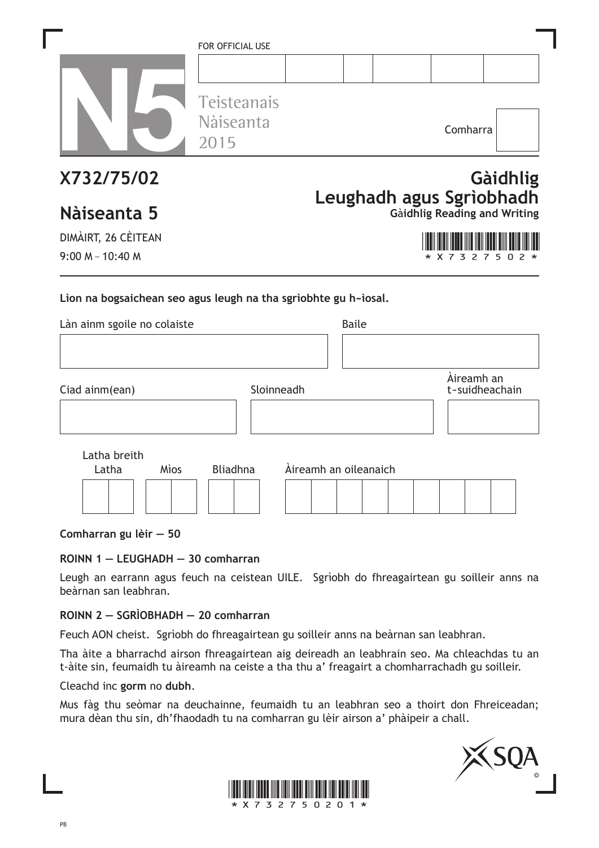|                                                                                                                      | FOR OFFICIAL USE<br>Teisteanais<br>Nàiseanta<br>2015 |                       |              | Comharra                                                        |          |
|----------------------------------------------------------------------------------------------------------------------|------------------------------------------------------|-----------------------|--------------|-----------------------------------------------------------------|----------|
| X732/75/02<br>Nàiseanta 5<br>DIMÀIRT, 26 CÈITEAN                                                                     |                                                      |                       |              | Leughadh agus Sgrìobhadh<br><b>Gàidhlig Reading and Writing</b> | Gàidhlig |
| $9:00 M - 10:40 M$<br>Lion na bogsaichean seo agus leugh na tha sgrìobhte gu h-ìosal.<br>Làn ainm sgoile no colaiste |                                                      |                       | <b>Baile</b> | 3<br>$\mathcal{P}$                                              | 5        |
| Ciad ainm(ean)                                                                                                       | Sloinneadh                                           |                       |              | Àireamh an<br>t-suidheachain                                    |          |
| Latha breith<br>Latha<br>Mìos                                                                                        | <b>Bliadhna</b>                                      | Àireamh an oileanaich |              |                                                                 |          |

**Comharran gu lèir — 50**

### **ROINN 1 — LEUGHADH — 30 comharran**

Leugh an earrann agus feuch na ceistean UILE. Sgrìobh do fhreagairtean gu soilleir anns na beàrnan san leabhran.

### **ROINN 2 — SGRÌOBHADH — 20 comharran**

Feuch AON cheist. Sgrìobh do fhreagairtean gu soilleir anns na beàrnan san leabhran.

Tha àite a bharrachd airson fhreagairtean aig deireadh an leabhrain seo. Ma chleachdas tu an t-àite sin, feumaidh tu àireamh na ceiste a tha thu a' freagairt a chomharrachadh gu soilleir.

Cleachd inc **gorm** no **dubh**.

Mus fàg thu seòmar na deuchainne, feumaidh tu an leabhran seo a thoirt don Fhreiceadan; mura dèan thu sin, dh'fhaodadh tu na comharran gu lèir airson a' phàipeir a chall.



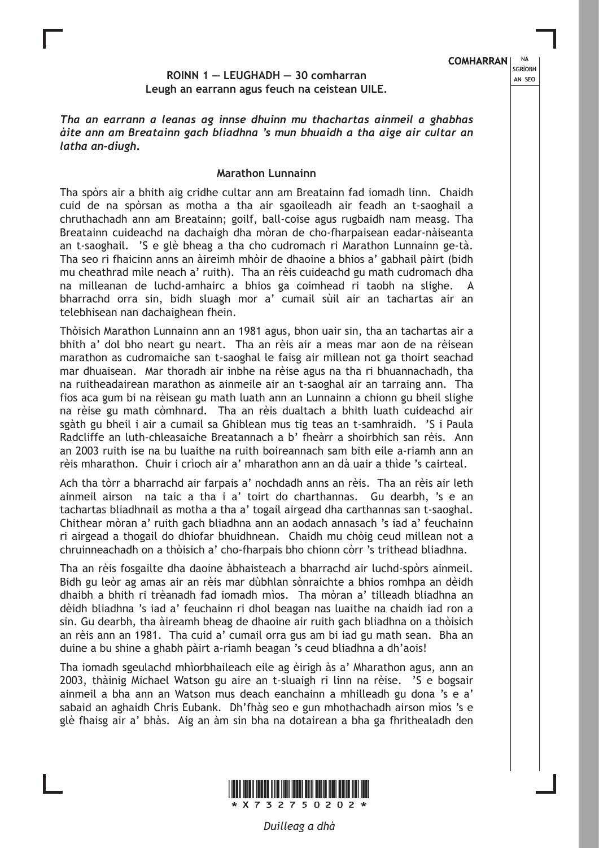### **COMHARRAN** | NA

### **ROINN 1 — LEUGHADH — 30 comharran Leugh an earrann agus feuch na ceistean UILE.**

*Tha an earrann a leanas ag innse dhuinn mu thachartas ainmeil a ghabhas àite ann am Breatainn gach bliadhna 's mun bhuaidh a tha aige air cultar an latha an-diugh***.**

### **Marathon Lunnainn**

Tha spòrs air a bhith aig cridhe cultar ann am Breatainn fad iomadh linn. Chaidh cuid de na spòrsan as motha a tha air sgaoileadh air feadh an t-saoghail a chruthachadh ann am Breatainn; goilf, ball-coise agus rugbaidh nam measg. Tha Breatainn cuideachd na dachaigh dha mòran de cho-fharpaisean eadar-nàiseanta an t-saoghail. 'S e glè bheag a tha cho cudromach ri Marathon Lunnainn ge-tà. Tha seo ri fhaicinn anns an àireimh mhòir de dhaoine a bhios a' gabhail pàirt (bidh mu cheathrad mìle neach a' ruith). Tha an rèis cuideachd gu math cudromach dha na milleanan de luchd-amhairc a bhios ga coimhead ri taobh na slighe. A bharrachd orra sin, bidh sluagh mor a' cumail sùil air an tachartas air an telebhisean nan dachaighean fhein.

Thòisich Marathon Lunnainn ann an 1981 agus, bhon uair sin, tha an tachartas air a bhith a' dol bho neart gu neart. Tha an rèis air a meas mar aon de na rèisean marathon as cudromaiche san t-saoghal le faisg air millean not ga thoirt seachad mar dhuaisean. Mar thoradh air inbhe na rèise agus na tha ri bhuannachadh, tha na ruitheadairean marathon as ainmeile air an t-saoghal air an tarraing ann. Tha fios aca gum bi na rèisean gu math luath ann an Lunnainn a chionn gu bheil slighe na rèise gu math còmhnard. Tha an rèis dualtach a bhith luath cuideachd air sgàth gu bheil i air a cumail sa Ghiblean mus tig teas an t-samhraidh. 'S i Paula Radcliffe an luth-chleasaiche Breatannach a b' fheàrr a shoirbhich san rèis. Ann an 2003 ruith ise na bu luaithe na ruith boireannach sam bith eile a-riamh ann an rèis mharathon. Chuir i crìoch air a' mharathon ann an dà uair a thìde 's cairteal.

Ach tha tòrr a bharrachd air farpais a' nochdadh anns an rèis. Tha an rèis air leth ainmeil airson na taic a tha i a' toirt do charthannas. Gu dearbh, 's e an tachartas bliadhnail as motha a tha a' togail airgead dha carthannas san t-saoghal. Chithear mòran a' ruith gach bliadhna ann an aodach annasach 's iad a' feuchainn ri airgead a thogail do dhiofar bhuidhnean. Chaidh mu chòig ceud millean not a chruinneachadh on a thòisich a' cho-fharpais bho chionn còrr 's trithead bliadhna.

Tha an rèis fosgailte dha daoine àbhaisteach a bharrachd air luchd-spòrs ainmeil. Bidh gu leòr ag amas air an rèis mar dùbhlan sònraichte a bhios romhpa an dèidh dhaibh a bhith ri trèanadh fad iomadh mìos. Tha mòran a' tilleadh bliadhna an dèidh bliadhna 's iad a' feuchainn ri dhol beagan nas luaithe na chaidh iad ron a sin. Gu dearbh, tha àireamh bheag de dhaoine air ruith gach bliadhna on a thòisich an rèis ann an 1981. Tha cuid a' cumail orra gus am bi iad gu math sean. Bha an duine a bu shine a ghabh pàirt a-riamh beagan 's ceud bliadhna a dh'aois!

Tha iomadh sgeulachd mhìorbhaileach eile ag èirigh às a' Mharathon agus, ann an 2003, thàinig Michael Watson gu aire an t-sluaigh ri linn na rèise. 'S e bogsair ainmeil a bha ann an Watson mus deach eanchainn a mhilleadh gu dona 's e a' sabaid an aghaidh Chris Eubank. Dh'fhàg seo e gun mhothachadh airson mìos 's e glè fhaisg air a' bhàs. Aig an àm sin bha na dotairean a bha ga fhrithealadh den



SGRÌOBH AN SEO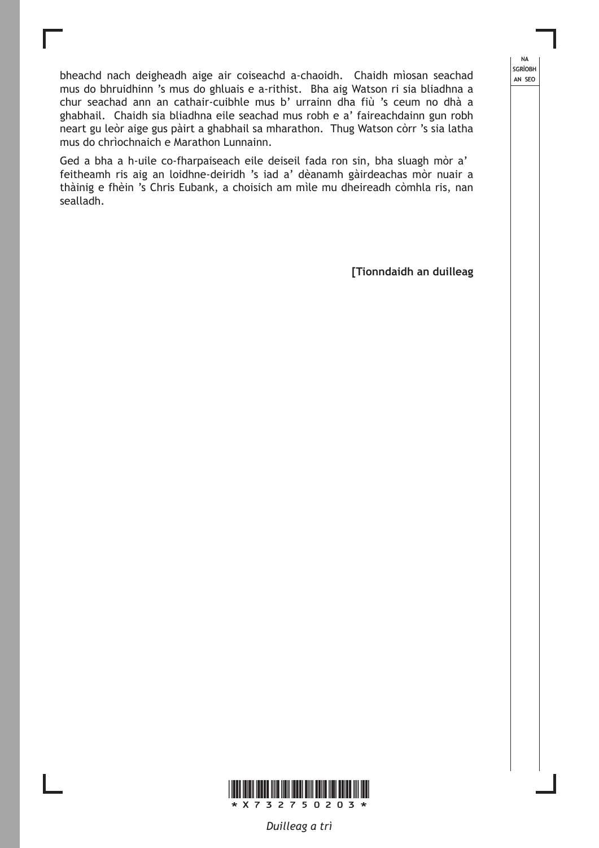bheachd nach deigheadh aige air coiseachd a-chaoidh. Chaidh mìosan seachad mus do bhruidhinn 's mus do ghluais e a-rithist. Bha aig Watson ri sia bliadhna a chur seachad ann an cathair-cuibhle mus b' urrainn dha fiù 's ceum no dhà a ghabhail. Chaidh sia bliadhna eile seachad mus robh e a' faireachdainn gun robh neart gu leòr aige gus pàirt a ghabhail sa mharathon. Thug Watson còrr 's sia latha mus do chrìochnaich e Marathon Lunnainn.

Ged a bha a h-uile co-fharpaiseach eile deiseil fada ron sin, bha sluagh mòr a' feitheamh ris aig an loidhne-deiridh 's iad a' dèanamh gàirdeachas mòr nuair a thàinig e fhèin 's Chris Eubank, a choisich am mìle mu dheireadh còmhla ris, nan sealladh.

**[Tionndaidh an duilleag**

NA **SGRÌOBH** AN SEO



*Duilleag a trì*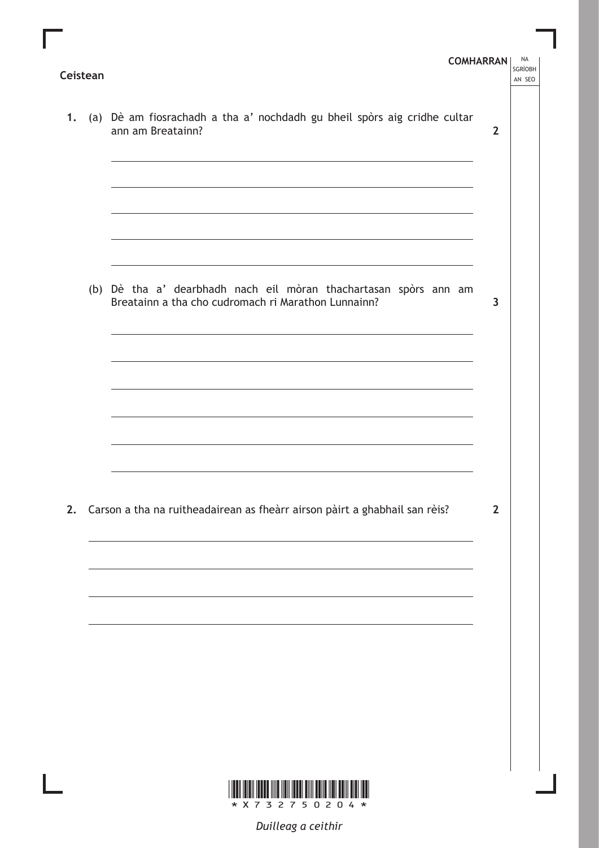|  | 1. (a) Dè am fiosrachadh a tha a' nochdadh gu bheil spòrs aig cridhe cultar<br>ann am Breatainn?                                                                                                                              | $\overline{2}$ |  |
|--|-------------------------------------------------------------------------------------------------------------------------------------------------------------------------------------------------------------------------------|----------------|--|
|  | the control of the control of the control of the control of the control of the control of the control of the control of the control of the control of the control of the control of the control of the control of the control |                |  |
|  |                                                                                                                                                                                                                               |                |  |
|  | (b) Dè tha a' dearbhadh nach eil mòran thachartasan spòrs ann am<br>Breatainn a tha cho cudromach ri Marathon Lunnainn?                                                                                                       | 3              |  |
|  | ,我们也不能在这里的时候,我们也不能在这里的时候,我们也不能会在这里的时候,我们也不能会在这里的时候,我们也不能会在这里的时候,我们也不能会在这里的时候,我们也                                                                                                                                              |                |  |
|  |                                                                                                                                                                                                                               |                |  |
|  |                                                                                                                                                                                                                               |                |  |
|  | 2. Carson a tha na ruitheadairean as fheàrr airson pàirt a ghabhail san rèis?                                                                                                                                                 | $\overline{2}$ |  |
|  |                                                                                                                                                                                                                               |                |  |
|  |                                                                                                                                                                                                                               |                |  |
|  |                                                                                                                                                                                                                               |                |  |
|  |                                                                                                                                                                                                                               |                |  |
|  |                                                                                                                                                                                                                               |                |  |

Ш

*Duilleag a ceithir*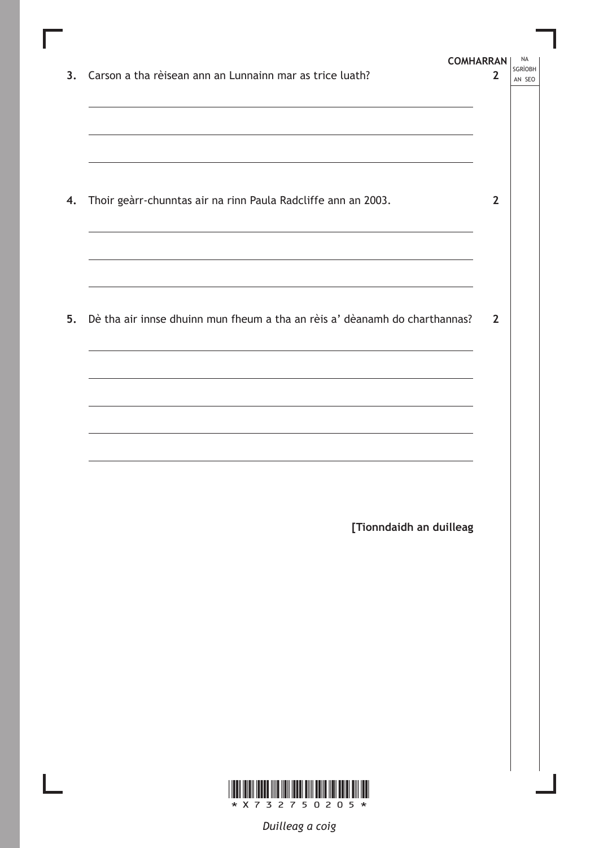| 3. Carson a tha rèisean ann an Lunnainn mar as trice luath?<br>,我们也不会有什么。""我们的人,我们也不会有什么?""我们的人,我们也不会有什么?""我们的人,我们也不会有什么?""我们的人,我们也不会有什么?""我们的人                                                                                                                                                                                                                                                                                                                                                                                                                                                                                                                          | <b>COMHARRAN</b><br>2 | <b>NA</b><br>SGRÌOBH<br>AN SEO |
|--------------------------------------------------------------------------------------------------------------------------------------------------------------------------------------------------------------------------------------------------------------------------------------------------------------------------------------------------------------------------------------------------------------------------------------------------------------------------------------------------------------------------------------------------------------------------------------------------------------------------------------------------------------------------|-----------------------|--------------------------------|
| ,我们也不会有什么。""我们的人,我们也不会有什么?""我们的人,我们也不会有什么?""我们的人,我们的人,我们的人,我们的人,我们的人,我们的人,我们的人,我<br>4. Thoir geàrr-chunntas air na rinn Paula Radcliffe ann an 2003.                                                                                                                                                                                                                                                                                                                                                                                                                                                                                                                     | $\overline{2}$        |                                |
| <u> 1989 - Johann Stoff, deutscher Stoff, der Stoff, der Stoff, der Stoff, der Stoff, der Stoff, der Stoff, der S</u><br>the control of the control of the control of the control of the control of the control of the control of the control of the control of the control of the control of the control of the control of the control of the control<br>5. Dè tha air innse dhuinn mun fheum a tha an rèis a' dèanamh do charthannas?<br>the control of the control of the control of the control of the control of the control of the control of the control of the control of the control of the control of the control of the control of the control of the control | $\overline{2}$        |                                |
| the control of the control of the control of the control of the control of the control of                                                                                                                                                                                                                                                                                                                                                                                                                                                                                                                                                                                |                       |                                |
| [Tionndaidh an duilleag                                                                                                                                                                                                                                                                                                                                                                                                                                                                                                                                                                                                                                                  |                       |                                |
|                                                                                                                                                                                                                                                                                                                                                                                                                                                                                                                                                                                                                                                                          |                       |                                |
|                                                                                                                                                                                                                                                                                                                                                                                                                                                                                                                                                                                                                                                                          |                       |                                |
| <u> III maanda ka mid maalaa ka mid maa</u><br>Ш<br>* X 7 3 2 7 5 0 2 0 5 *                                                                                                                                                                                                                                                                                                                                                                                                                                                                                                                                                                                              |                       |                                |

*Duilleag a coig*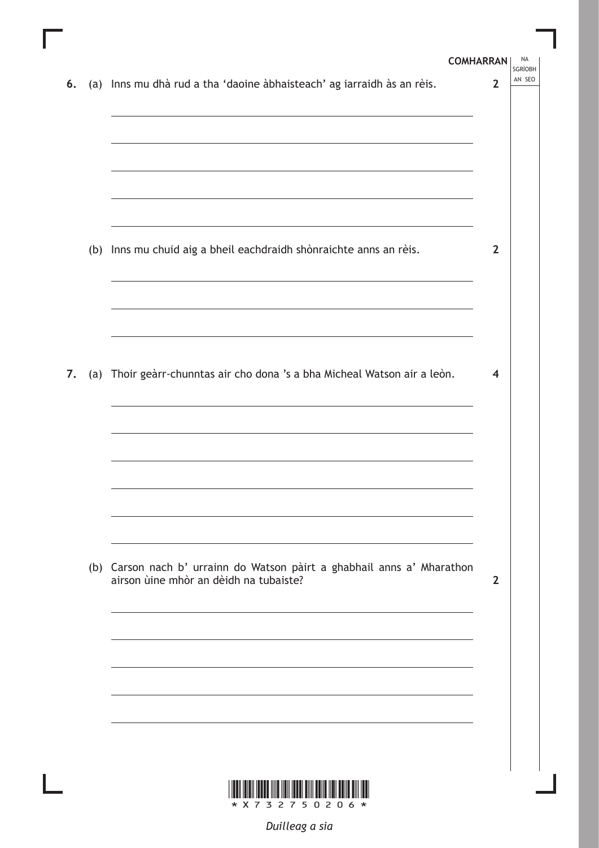|    | <b>COMHARRAN</b>                                                                                                                                                                                                              | <b>NA</b><br><b>SGRÌOBH</b> |  |
|----|-------------------------------------------------------------------------------------------------------------------------------------------------------------------------------------------------------------------------------|-----------------------------|--|
| 6. | (a) Inns mu dhà rud a tha 'daoine àbhaisteach' ag iarraidh às an rèis.                                                                                                                                                        | AN SEO<br>$\overline{2}$    |  |
|    |                                                                                                                                                                                                                               |                             |  |
|    |                                                                                                                                                                                                                               |                             |  |
|    |                                                                                                                                                                                                                               |                             |  |
|    |                                                                                                                                                                                                                               |                             |  |
|    | the control of the control of the control of the control of the control of the control of the control of the control of the control of the control of the control of the control of the control of the control of the control |                             |  |
|    |                                                                                                                                                                                                                               |                             |  |
|    | (b) Inns mu chuid aig a bheil eachdraidh shònraichte anns an rèis.                                                                                                                                                            | $\overline{2}$              |  |
|    |                                                                                                                                                                                                                               |                             |  |
|    |                                                                                                                                                                                                                               |                             |  |
|    |                                                                                                                                                                                                                               |                             |  |
|    |                                                                                                                                                                                                                               |                             |  |
| 7. | (a) Thoir geàrr-chunntas air cho dona 's a bha Micheal Watson air a leòn.                                                                                                                                                     | $\overline{\bf 4}$          |  |
|    |                                                                                                                                                                                                                               |                             |  |
|    |                                                                                                                                                                                                                               |                             |  |
|    |                                                                                                                                                                                                                               |                             |  |
|    |                                                                                                                                                                                                                               |                             |  |
|    |                                                                                                                                                                                                                               |                             |  |
|    |                                                                                                                                                                                                                               |                             |  |
|    |                                                                                                                                                                                                                               |                             |  |
|    | (b) Carson nach b' urrainn do Watson pàirt a ghabhail anns a' Mharathon<br>airson ùine mhòr an dèidh na tubaiste?                                                                                                             | $\overline{2}$              |  |
|    |                                                                                                                                                                                                                               |                             |  |
|    |                                                                                                                                                                                                                               |                             |  |
|    |                                                                                                                                                                                                                               |                             |  |
|    |                                                                                                                                                                                                                               |                             |  |
|    |                                                                                                                                                                                                                               |                             |  |
|    |                                                                                                                                                                                                                               |                             |  |
|    |                                                                                                                                                                                                                               |                             |  |
|    |                                                                                                                                                                                                                               |                             |  |
|    | X 7 3 2 7 5 0 2 0 6<br>*<br>$\star$                                                                                                                                                                                           |                             |  |

Ш

 $\mathbb{L}$ 

*Duilleag a sia*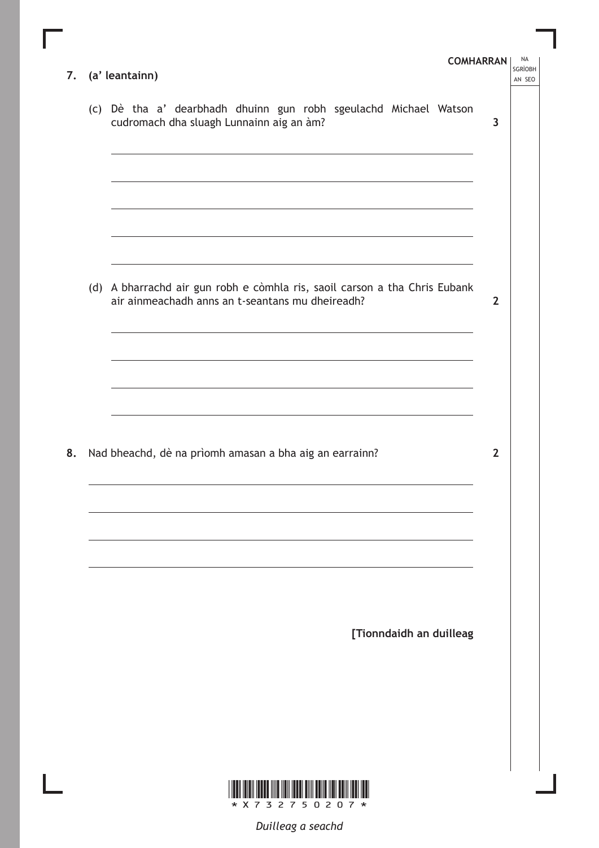|    | 7. (a' leantainn)                                                                                                                                                                                                                                                                                           | <b>COMHARRAN</b> | <b>NA</b><br><b>SGRÌOBH</b><br>AN SEO |
|----|-------------------------------------------------------------------------------------------------------------------------------------------------------------------------------------------------------------------------------------------------------------------------------------------------------------|------------------|---------------------------------------|
|    | (c) Dè tha a' dearbhadh dhuinn gun robh sgeulachd Michael Watson<br>cudromach dha sluagh Lunnainn aig an àm?                                                                                                                                                                                                | $\overline{3}$   |                                       |
|    | <u> 1989 - Andrea Station Barbara, actor a component de la componentación de la componentación de la componentaci</u>                                                                                                                                                                                       |                  |                                       |
|    | the control of the control of the control of the control of the control of the control of the control of the control of the control of the control of the control of the control of the control of the control of the control<br>(d) A bharrachd air gun robh e còmhla ris, saoil carson a tha Chris Eubank |                  |                                       |
|    | air ainmeachadh anns an t-seantans mu dheireadh?<br>the control of the control of the control of the control of the control of the control of the control of the control of the control of the control of the control of the control of the control of the control of the control                           | $\overline{2}$   |                                       |
|    | the control of the control of the control of the control of the control of the control of the control of the control of the control of the control of the control of the control of the control of the control of the control                                                                               |                  |                                       |
| 8. | Nad bheachd, dè na prìomh amasan a bha aig an earrainn?                                                                                                                                                                                                                                                     | $\overline{2}$   |                                       |
|    |                                                                                                                                                                                                                                                                                                             |                  |                                       |
|    | [Tionndaidh an duilleag                                                                                                                                                                                                                                                                                     |                  |                                       |
|    |                                                                                                                                                                                                                                                                                                             |                  |                                       |
|    |                                                                                                                                                                                                                                                                                                             |                  |                                       |

Г

*Duilleag a seachd*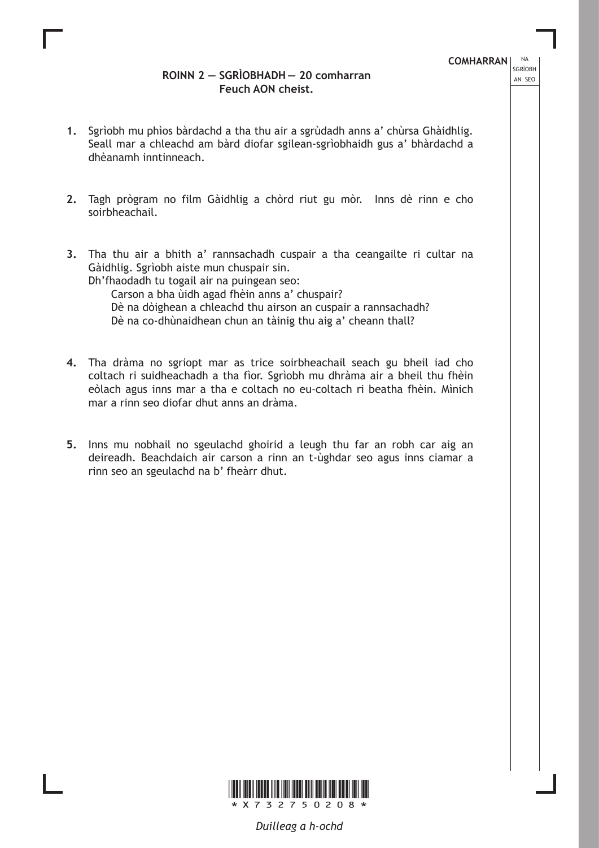### **ROINN 2 — SGRÌOBHADH — 20 comharran Feuch AON cheist.**

**COMHARRAN** | NA SGRÌOBH

- **1.** Sgrìobh mu phìos bàrdachd a tha thu air a sgrùdadh anns a' chùrsa Ghàidhlig. Seall mar a chleachd am bàrd diofar sgilean-sgrìobhaidh gus a' bhàrdachd a dhèanamh inntinneach.
- **2.** Tagh prògram no film Gàidhlig a chòrd riut gu mòr. Inns dè rinn e cho soirbheachail.
- **3.** Tha thu air a bhith a' rannsachadh cuspair a tha ceangailte ri cultar na Gàidhlig. Sgrìobh aiste mun chuspair sin.

Dh'fhaodadh tu togail air na puingean seo:

Carson a bha ùidh agad fhèin anns a' chuspair?

Dè na dòighean a chleachd thu airson an cuspair a rannsachadh?

Dè na co-dhùnaidhean chun an tàinig thu aig a' cheann thall?

- **4.** Tha dràma no sgriopt mar as trice soirbheachail seach gu bheil iad cho coltach ri suidheachadh a tha fìor. Sgrìobh mu dhràma air a bheil thu fhèin eòlach agus inns mar a tha e coltach no eu-coltach ri beatha fhèin. Mìnich mar a rinn seo diofar dhut anns an dràma.
- **5.** Inns mu nobhail no sgeulachd ghoirid a leugh thu far an robh car aig an deireadh. Beachdaich air carson a rinn an t-ùghdar seo agus inns ciamar a rinn seo an sgeulachd na b' fheàrr dhut.



*Duilleag a h-ochd*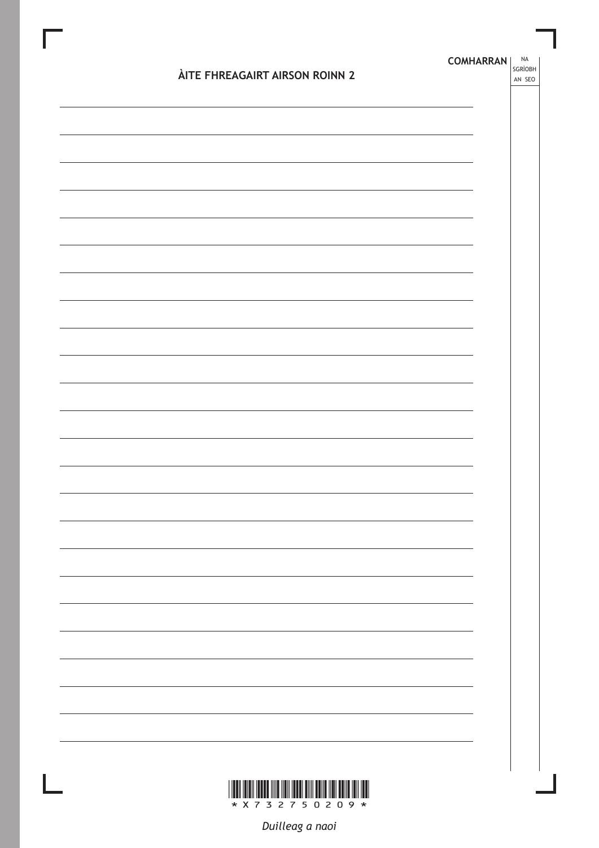| ÀITE FHREAGAIRT AIRSON ROINN 2 | <b>NA</b><br><b>COMHARRAN</b><br>SGRÌOBH<br>AN SEO |
|--------------------------------|----------------------------------------------------|
|                                |                                                    |
|                                |                                                    |
|                                |                                                    |
|                                |                                                    |
|                                |                                                    |
|                                |                                                    |
|                                |                                                    |
|                                |                                                    |
|                                |                                                    |
|                                |                                                    |
|                                |                                                    |
|                                |                                                    |
|                                |                                                    |
|                                |                                                    |
|                                |                                                    |
|                                |                                                    |
|                                |                                                    |
|                                |                                                    |
|                                |                                                    |

Duilleag a naoi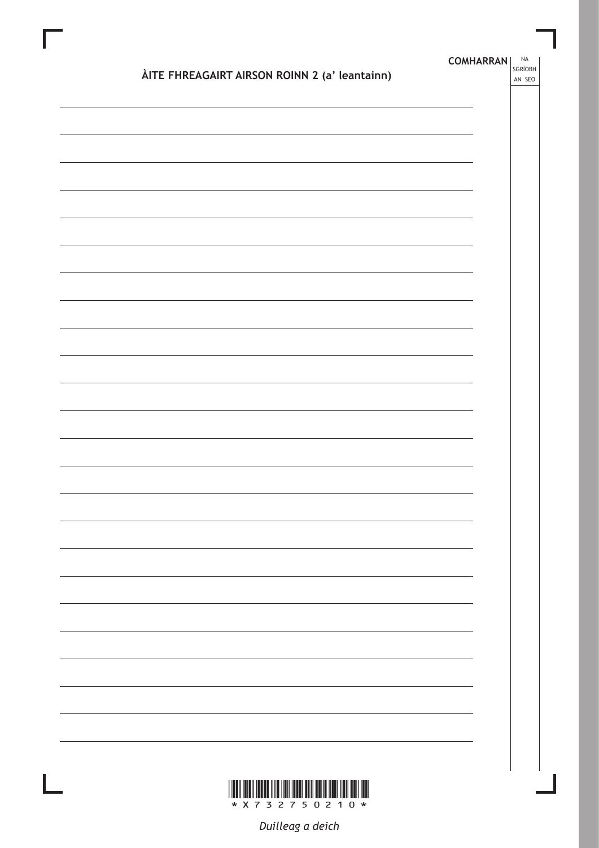|                                               | <b>COMHARRAN</b> | <b>NA</b><br>SGRÌOBH |
|-----------------------------------------------|------------------|----------------------|
| ÀITE FHREAGAIRT AIRSON ROINN 2 (a' leantainn) |                  | AN SEO               |
|                                               |                  |                      |
|                                               |                  |                      |
|                                               |                  |                      |
|                                               |                  |                      |
|                                               |                  |                      |
|                                               |                  |                      |
|                                               |                  |                      |
|                                               |                  |                      |
|                                               |                  |                      |
|                                               |                  |                      |
|                                               |                  |                      |
|                                               |                  |                      |
|                                               |                  |                      |
|                                               |                  |                      |
|                                               |                  |                      |
|                                               |                  |                      |
|                                               |                  |                      |
|                                               |                  |                      |
|                                               |                  |                      |
|                                               |                  |                      |
| * X 7 3 2 7 5 0 2 1 0 *                       |                  |                      |

Duilleag a deich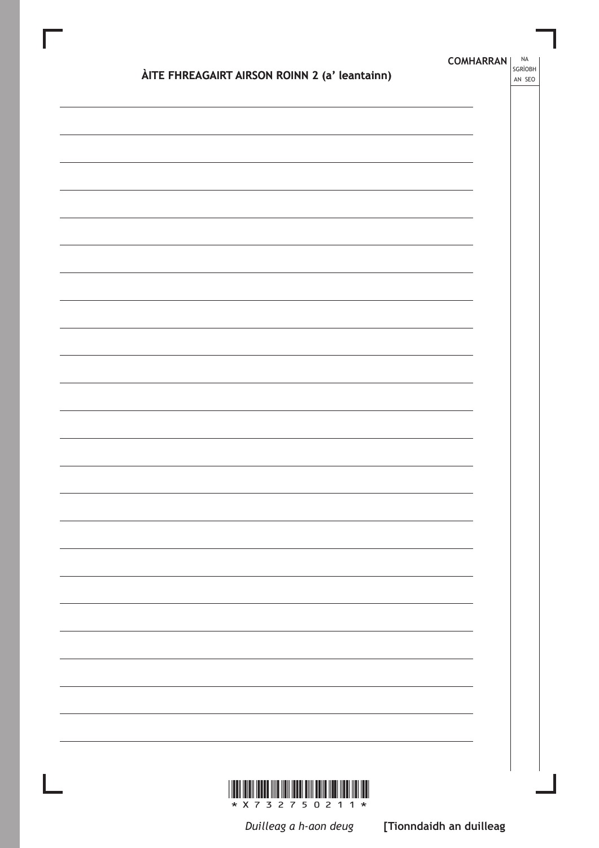| ÀITE FHREAGAIRT AIRSON ROINN 2 (a' leantainn) | <b>COMHARRAN</b> | NA<br>SGRÌOBH<br>AN SEO |
|-----------------------------------------------|------------------|-------------------------|
|                                               |                  |                         |
|                                               |                  |                         |
|                                               |                  |                         |
|                                               |                  |                         |
|                                               |                  |                         |
|                                               |                  |                         |
|                                               |                  |                         |
|                                               |                  |                         |
|                                               |                  |                         |
|                                               |                  |                         |
|                                               |                  |                         |
|                                               |                  |                         |
|                                               |                  |                         |
|                                               |                  |                         |
|                                               |                  |                         |
|                                               |                  |                         |
|                                               |                  |                         |
|                                               |                  |                         |

 $\begin{array}{c} \hline \end{array}$ 

Duilleag a h-aon deug

[Tionndaidh an duilleag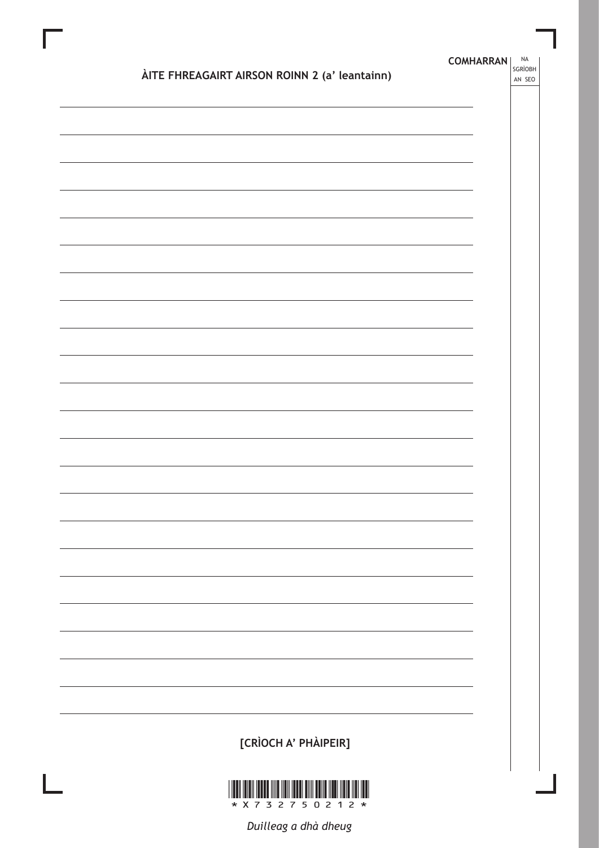| ÀITE FHREAGAIRT AIRSON ROINN 2 (a' leantainn) | <b>COMHARRAN</b> | <b>NA</b><br>SGRÌOBH<br>AN SEO |
|-----------------------------------------------|------------------|--------------------------------|
|                                               |                  |                                |
|                                               |                  |                                |
|                                               |                  |                                |
|                                               |                  |                                |
|                                               |                  |                                |
|                                               |                  |                                |
|                                               |                  |                                |
|                                               |                  |                                |
|                                               |                  |                                |
|                                               |                  |                                |
|                                               |                  |                                |
|                                               |                  |                                |
|                                               |                  |                                |
|                                               |                  |                                |
|                                               |                  |                                |
|                                               |                  |                                |
|                                               |                  |                                |
|                                               |                  |                                |
| [CRÌOCH A' PHÀIPEIR]                          |                  |                                |
|                                               |                  |                                |



Duilleag a dhà dheug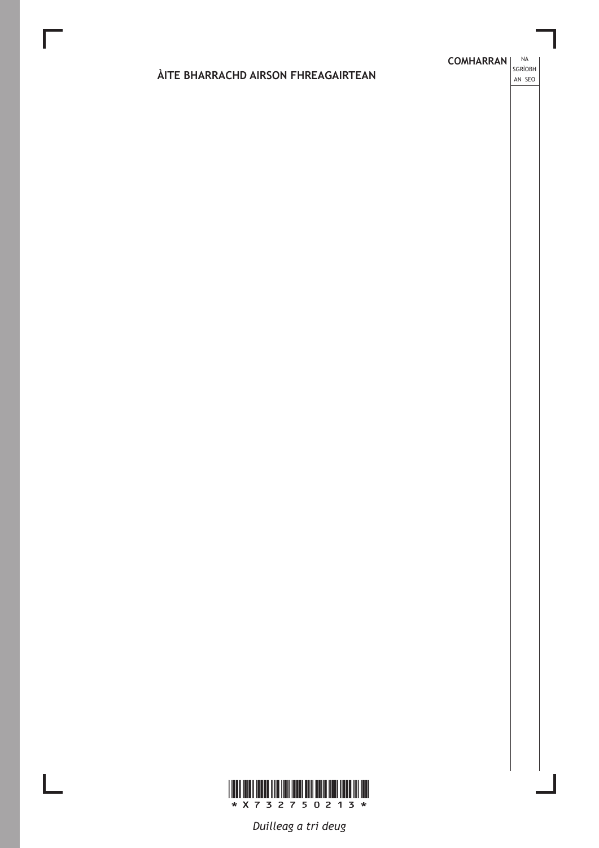### ÀITE BHARRACHD AIRSON FHREAGAIRTEAN

**COMHARRAN** SGRÌOBH

AN SEO



Duilleag a tri deug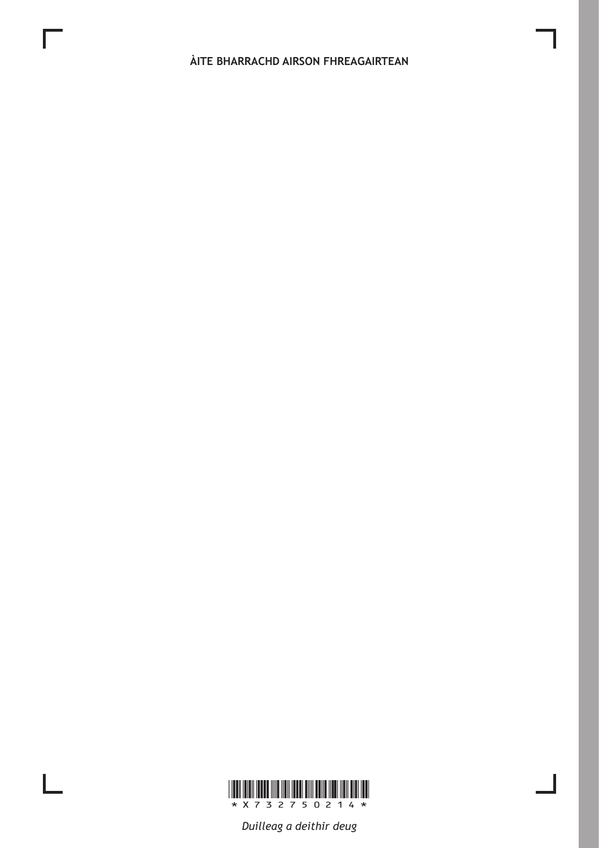ÀITE BHARRACHD AIRSON FHREAGAIRTEAN



L

Duilleag a deithir deug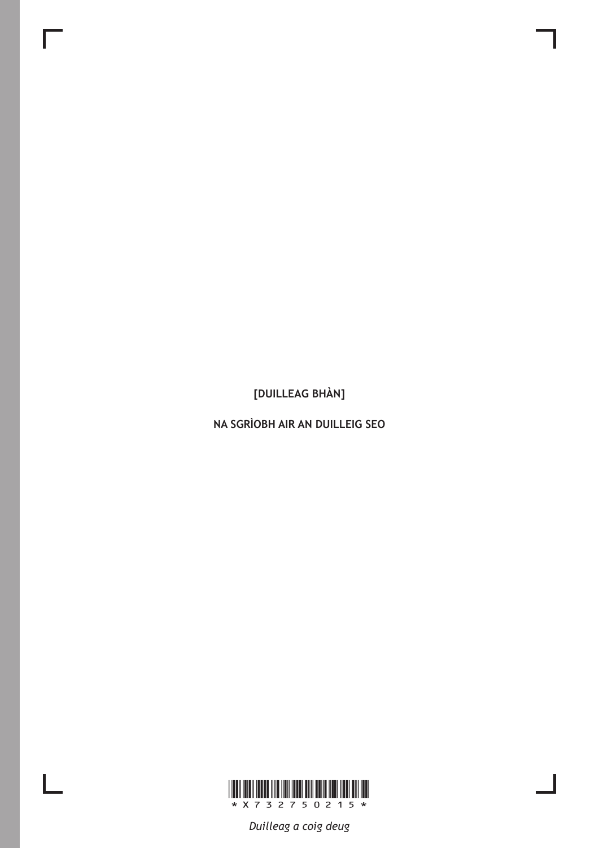[DUILLEAG BHÀN]

NA SGRÌOBH AIR AN DUILLEIG SEO



 $\mathbb{L}$ 

Duilleag a coig deug